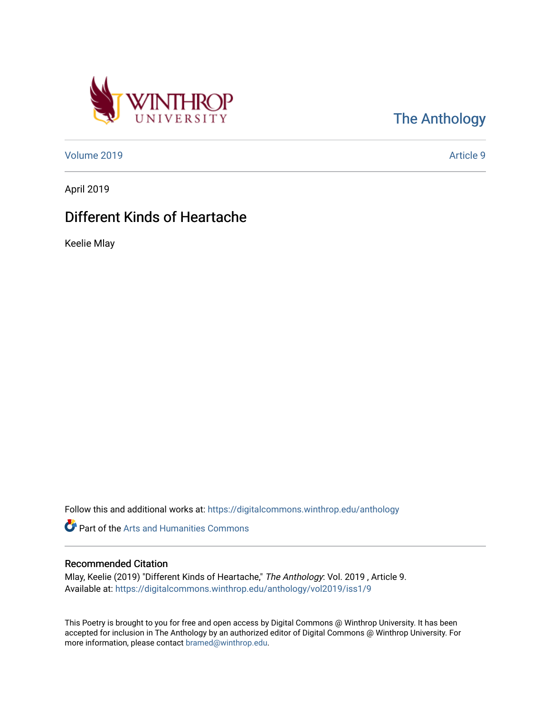

[The Anthology](https://digitalcommons.winthrop.edu/anthology) 

[Volume 2019](https://digitalcommons.winthrop.edu/anthology/vol2019) [Article 9](https://digitalcommons.winthrop.edu/anthology/vol2019/iss1/9) 

April 2019

## Different Kinds of Heartache

Keelie Mlay

Follow this and additional works at: [https://digitalcommons.winthrop.edu/anthology](https://digitalcommons.winthrop.edu/anthology?utm_source=digitalcommons.winthrop.edu%2Fanthology%2Fvol2019%2Fiss1%2F9&utm_medium=PDF&utm_campaign=PDFCoverPages) 

Part of the [Arts and Humanities Commons](http://network.bepress.com/hgg/discipline/438?utm_source=digitalcommons.winthrop.edu%2Fanthology%2Fvol2019%2Fiss1%2F9&utm_medium=PDF&utm_campaign=PDFCoverPages) 

## Recommended Citation

Mlay, Keelie (2019) "Different Kinds of Heartache," The Anthology: Vol. 2019 , Article 9. Available at: [https://digitalcommons.winthrop.edu/anthology/vol2019/iss1/9](https://digitalcommons.winthrop.edu/anthology/vol2019/iss1/9?utm_source=digitalcommons.winthrop.edu%2Fanthology%2Fvol2019%2Fiss1%2F9&utm_medium=PDF&utm_campaign=PDFCoverPages) 

This Poetry is brought to you for free and open access by Digital Commons @ Winthrop University. It has been accepted for inclusion in The Anthology by an authorized editor of Digital Commons @ Winthrop University. For more information, please contact [bramed@winthrop.edu](mailto:bramed@winthrop.edu).